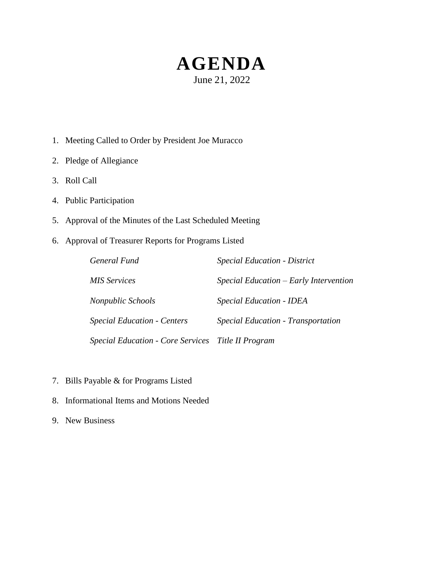# **AGENDA** June 21, 2022

- 1. Meeting Called to Order by President Joe Muracco
- 2. Pledge of Allegiance
- 3. Roll Call
- 4. Public Participation
- 5. Approval of the Minutes of the Last Scheduled Meeting
- 6. Approval of Treasurer Reports for Programs Listed

| General Fund                                       | <b>Special Education - District</b>    |
|----------------------------------------------------|----------------------------------------|
| MIS Services                                       | Special Education – Early Intervention |
| Nonpublic Schools                                  | <b>Special Education - IDEA</b>        |
| <b>Special Education - Centers</b>                 | Special Education - Transportation     |
| Special Education - Core Services Title II Program |                                        |

- 7. Bills Payable & for Programs Listed
- 8. Informational Items and Motions Needed
- 9. New Business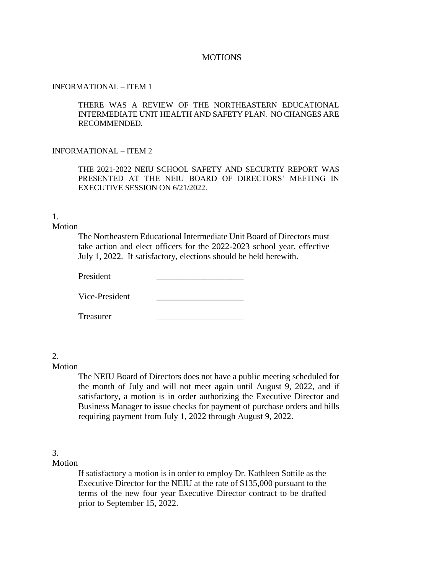#### **MOTIONS**

#### INFORMATIONAL – ITEM 1

THERE WAS A REVIEW OF THE NORTHEASTERN EDUCATIONAL INTERMEDIATE UNIT HEALTH AND SAFETY PLAN. NO CHANGES ARE RECOMMENDED.

#### INFORMATIONAL – ITEM 2

THE 2021-2022 NEIU SCHOOL SAFETY AND SECURTIY REPORT WAS PRESENTED AT THE NEIU BOARD OF DIRECTORS' MEETING IN EXECUTIVE SESSION ON 6/21/2022.

# 1.

## Motion

The Northeastern Educational Intermediate Unit Board of Directors must take action and elect officers for the 2022-2023 school year, effective July 1, 2022. If satisfactory, elections should be held herewith.

President

Vice-President

Treasurer \_\_\_\_\_\_\_\_\_\_\_\_\_\_\_\_\_\_\_\_

# 2.

#### Motion

The NEIU Board of Directors does not have a public meeting scheduled for the month of July and will not meet again until August 9, 2022, and if satisfactory, a motion is in order authorizing the Executive Director and Business Manager to issue checks for payment of purchase orders and bills requiring payment from July 1, 2022 through August 9, 2022.

## 3.

Motion

If satisfactory a motion is in order to employ Dr. Kathleen Sottile as the Executive Director for the NEIU at the rate of \$135,000 pursuant to the terms of the new four year Executive Director contract to be drafted prior to September 15, 2022.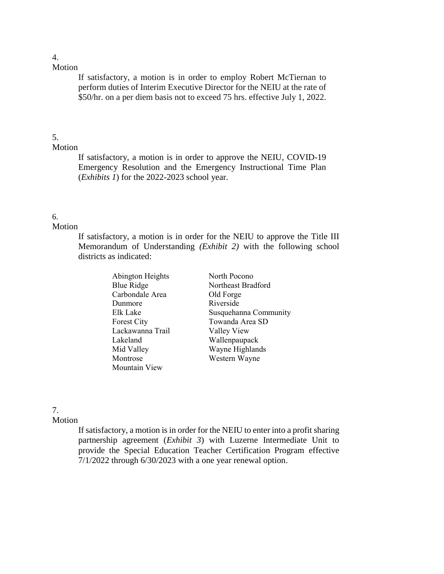If satisfactory, a motion is in order to employ Robert McTiernan to perform duties of Interim Executive Director for the NEIU at the rate of \$50/hr. on a per diem basis not to exceed 75 hrs. effective July 1, 2022.

# 5.

## Motion

If satisfactory, a motion is in order to approve the NEIU, COVID-19 Emergency Resolution and the Emergency Instructional Time Plan (*Exhibits 1*) for the 2022-2023 school year.

# 6.

## Motion

If satisfactory, a motion is in order for the NEIU to approve the Title III Memorandum of Understanding *(Exhibit 2)* with the following school districts as indicated:

| Abington Heights | North Pocono          |
|------------------|-----------------------|
| Blue Ridge       | Northeast Bradford    |
| Carbondale Area  | Old Forge             |
| Dunmore          | Riverside             |
| Elk Lake         | Susquehanna Community |
| Forest City      | Towanda Area SD       |
| Lackawanna Trail | Valley View           |
| Lakeland         | Wallenpaupack         |
| Mid Valley       | Wayne Highlands       |
| Montrose         | Western Wayne         |
| Mountain View    |                       |

# 7.

# Motion

If satisfactory, a motion is in order for the NEIU to enter into a profit sharing partnership agreement (*Exhibit 3*) with Luzerne Intermediate Unit to provide the Special Education Teacher Certification Program effective 7/1/2022 through 6/30/2023 with a one year renewal option.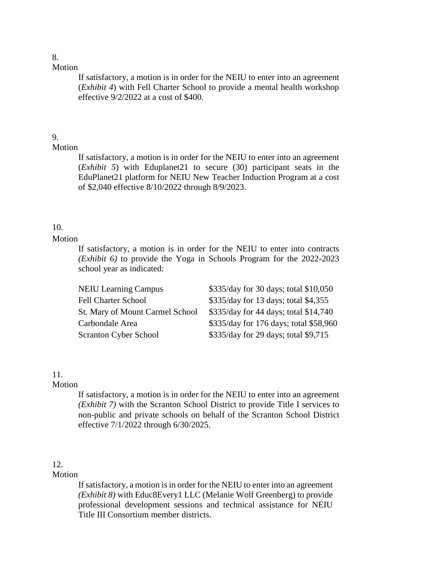# 8.

Motion

If satisfactory, a motion is in order for the NEIU to enter into an agreement (*Exhibit 4*) with Fell Charter School to provide a mental health workshop effective 9/2/2022 at a cost of \$400.

# 9.

# Motion

If satisfactory, a motion is in order for the NEIU to enter into an agreement (*Exhibit 5*) with Eduplanet21 to secure (30) participant seats in the EduPlanet21 platform for NEIU New Teacher Induction Program at a cost of \$2,040 effective 8/10/2022 through 8/9/2023.

# 10.

# Motion

If satisfactory, a motion is in order for the NEIU to enter into contracts *(Exhibit 6)* to provide the Yoga in Schools Program for the 2022-2023 school year as indicated:

| <b>NEIU Learning Campus</b>     | \$335/day for 30 days; total \$10,050  |
|---------------------------------|----------------------------------------|
| <b>Fell Charter School</b>      | \$335/day for 13 days; total \$4,355   |
| St. Mary of Mount Carmel School | \$335/day for 44 days; total \$14,740  |
| Carbondale Area                 | \$335/day for 176 days; total \$58,960 |
| <b>Scranton Cyber School</b>    | \$335/day for 29 days; total \$9,715   |

# 11.

# Motion

If satisfactory, a motion is in order for the NEIU to enter into an agreement *(Exhibit 7)* with the Scranton School District to provide Title I services to non-public and private schools on behalf of the Scranton School District effective 7/1/2022 through 6/30/2025.

# 12.

# Motion

If satisfactory, a motion is in order for the NEIU to enter into an agreement *(Exhibit 8)* with Educ8Every1 LLC (Melanie Wolf Greenberg) to provide professional development sessions and technical assistance for NEIU Title III Consortium member districts.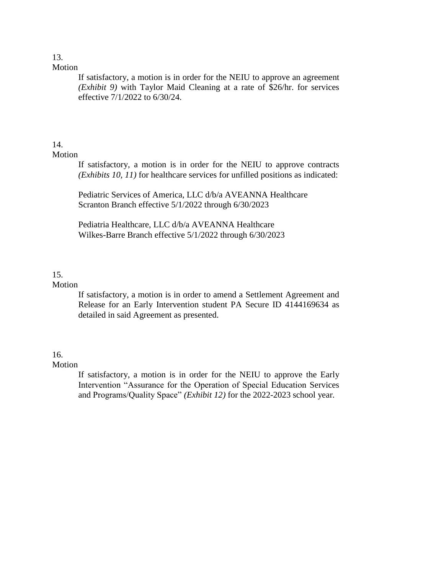If satisfactory, a motion is in order for the NEIU to approve an agreement *(Exhibit 9)* with Taylor Maid Cleaning at a rate of \$26/hr. for services effective 7/1/2022 to 6/30/24.

# 14.

## Motion

If satisfactory, a motion is in order for the NEIU to approve contracts *(Exhibits 10, 11)* for healthcare services for unfilled positions as indicated:

Pediatric Services of America, LLC d/b/a AVEANNA Healthcare Scranton Branch effective 5/1/2022 through 6/30/2023

Pediatria Healthcare, LLC d/b/a AVEANNA Healthcare Wilkes-Barre Branch effective 5/1/2022 through 6/30/2023

# 15.

## Motion

If satisfactory, a motion is in order to amend a Settlement Agreement and Release for an Early Intervention student PA Secure ID 4144169634 as detailed in said Agreement as presented.

# 16.

# Motion

If satisfactory, a motion is in order for the NEIU to approve the Early Intervention "Assurance for the Operation of Special Education Services and Programs/Quality Space" *(Exhibit 12)* for the 2022-2023 school year*.*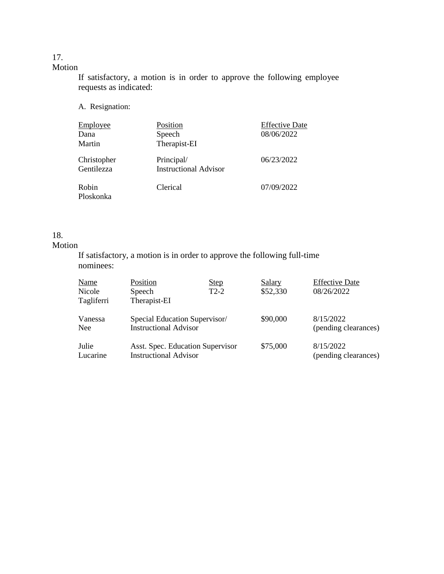> If satisfactory, a motion is in order to approve the following employee requests as indicated:

A. Resignation:

| <b>Employee</b> | Position                     | <b>Effective Date</b> |
|-----------------|------------------------------|-----------------------|
| Dana            | Speech                       | 08/06/2022            |
| Martin          | Therapist-EI                 |                       |
| Christopher     | Principal/                   | 06/23/2022            |
| Gentilezza      | <b>Instructional Advisor</b> |                       |
| Robin           | Clerical                     | 07/09/2022            |
| Ploskonka       |                              |                       |

## 18.

# Motion

If satisfactory, a motion is in order to approve the following full-time nominees:

| <b>Name</b>           | Position                                                         | <u>Step</u> | Salary   | <b>Effective Date</b>             |
|-----------------------|------------------------------------------------------------------|-------------|----------|-----------------------------------|
| Nicole<br>Tagliferri  | Speech<br>Therapist-EI                                           | $T2-2$      | \$52,330 | 08/26/2022                        |
| Vanessa<br><b>Nee</b> | Special Education Supervisor/<br><b>Instructional Advisor</b>    |             | \$90,000 | 8/15/2022<br>(pending clearances) |
| Julie<br>Lucarine     | Asst. Spec. Education Supervisor<br><b>Instructional Advisor</b> |             | \$75,000 | 8/15/2022<br>(pending clearances) |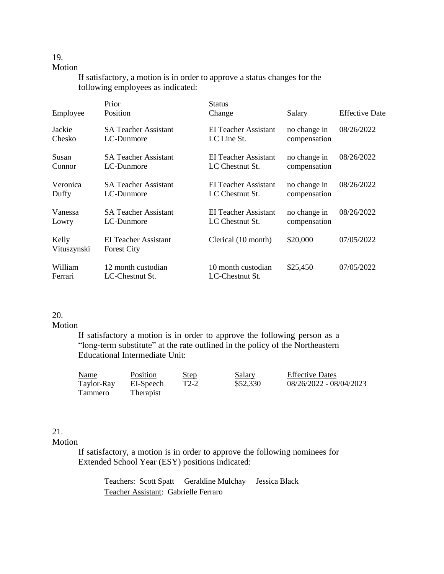# 19.

#### Motion

If satisfactory, a motion is in order to approve a status changes for the following employees as indicated:

| <b>Employee</b>      | Prior<br>Position                          | <b>Status</b><br><u>Change</u>        | <u>Salary</u> | <b>Effective Date</b> |
|----------------------|--------------------------------------------|---------------------------------------|---------------|-----------------------|
| Jackie               | <b>SA Teacher Assistant</b>                | EI Teacher Assistant                  | no change in  | 08/26/2022            |
| Chesko               | LC-Dunmore                                 | LC Line St.                           | compensation  |                       |
| Susan                | <b>SA Teacher Assistant</b>                | EI Teacher Assistant                  | no change in  | 08/26/2022            |
| Connor               | LC-Dunmore                                 | LC Chestnut St.                       | compensation  |                       |
| Veronica             | <b>SA Teacher Assistant</b>                | <b>EI Teacher Assistant</b>           | no change in  | 08/26/2022            |
| Duffy                | LC-Dunmore                                 | LC Chestnut St.                       | compensation  |                       |
| Vanessa              | <b>SA Teacher Assistant</b>                | EI Teacher Assistant                  | no change in  | 08/26/2022            |
| Lowry                | LC-Dunmore                                 | LC Chestnut St.                       | compensation  |                       |
| Kelly<br>Vituszynski | EI Teacher Assistant<br><b>Forest City</b> | Clerical (10 month)                   | \$20,000      | 07/05/2022            |
| William<br>Ferrari   | 12 month custodian<br>LC-Chestnut St.      | 10 month custodian<br>LC-Chestnut St. | \$25,450      | 07/05/2022            |

# 20.

#### Motion

If satisfactory a motion is in order to approve the following person as a "long-term substitute" at the rate outlined in the policy of the Northeastern Educational Intermediate Unit:

| Name           | Position  | <b>Step</b> | <b>Salary</b> | <b>Effective Dates</b>  |
|----------------|-----------|-------------|---------------|-------------------------|
| Taylor-Ray     | EI-Speech | T2-2        | \$52,330      | 08/26/2022 - 08/04/2023 |
| <b>Tammero</b> | Therapist |             |               |                         |

# 21.

### Motion

If satisfactory, a motion is in order to approve the following nominees for Extended School Year (ESY) positions indicated:

Teachers: Scott Spatt Geraldine Mulchay Jessica Black Teacher Assistant: Gabrielle Ferraro